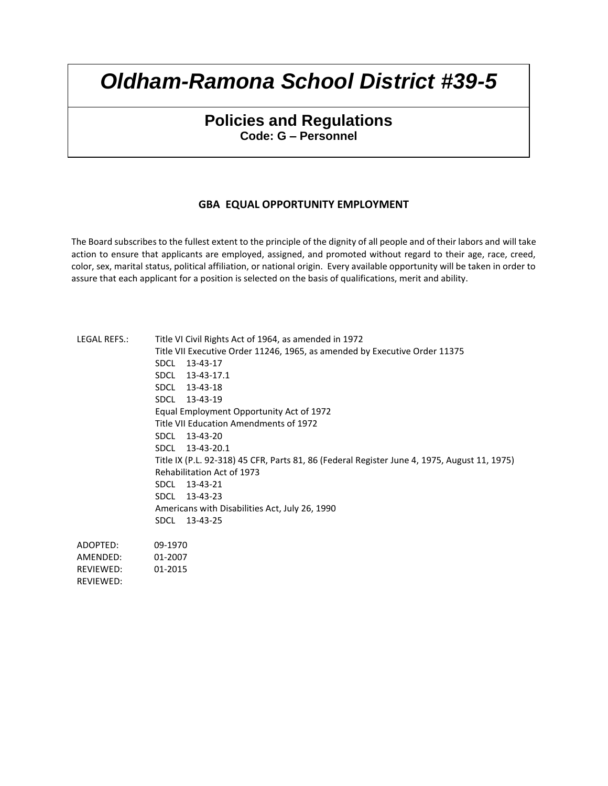# **Policies and Regulations Code: G – Personnel**

## **GBA EQUAL OPPORTUNITY EMPLOYMENT**

The Board subscribes to the fullest extent to the principle of the dignity of all people and of their labors and will take action to ensure that applicants are employed, assigned, and promoted without regard to their age, race, creed, color, sex, marital status, political affiliation, or national origin. Every available opportunity will be taken in order to assure that each applicant for a position is selected on the basis of qualifications, merit and ability.

| LEGAL REFS.: | Title VI Civil Rights Act of 1964, as amended in 1972                                        |  |  |  |  |
|--------------|----------------------------------------------------------------------------------------------|--|--|--|--|
|              | Title VII Executive Order 11246, 1965, as amended by Executive Order 11375                   |  |  |  |  |
|              | 13-43-17<br><b>SDCL</b>                                                                      |  |  |  |  |
|              | 13-43-17.1<br><b>SDCL</b>                                                                    |  |  |  |  |
|              | SDCL 13-43-18                                                                                |  |  |  |  |
|              | SDCL 13-43-19                                                                                |  |  |  |  |
|              | Equal Employment Opportunity Act of 1972                                                     |  |  |  |  |
|              | Title VII Education Amendments of 1972                                                       |  |  |  |  |
|              | SDCL 13-43-20                                                                                |  |  |  |  |
|              | SDCL 13-43-20.1                                                                              |  |  |  |  |
|              | Title IX (P.L. 92-318) 45 CFR, Parts 81, 86 (Federal Register June 4, 1975, August 11, 1975) |  |  |  |  |
|              | Rehabilitation Act of 1973                                                                   |  |  |  |  |
|              | 13-43-21<br><b>SDCL</b>                                                                      |  |  |  |  |
|              | SDCL 13-43-23                                                                                |  |  |  |  |
|              | Americans with Disabilities Act, July 26, 1990                                               |  |  |  |  |
|              | SDCL<br>13-43-25                                                                             |  |  |  |  |
| ADOPTED:     | 09-1970                                                                                      |  |  |  |  |
| AMENDED:     | 01-2007                                                                                      |  |  |  |  |
| REVIEWED:    | 01-2015                                                                                      |  |  |  |  |
| REVIEWED:    |                                                                                              |  |  |  |  |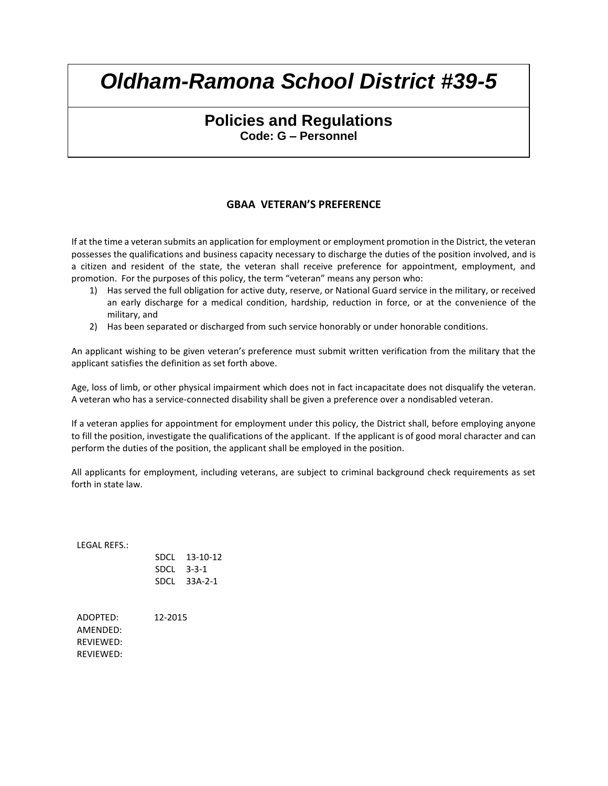# **Policies and Regulations Code: G – Personnel**

## **GBAA VETERAN'S PREFERENCE**

If at the time a veteran submits an application for employment or employment promotion in the District, the veteran possesses the qualifications and business capacity necessary to discharge the duties of the position involved, and is a citizen and resident of the state, the veteran shall receive preference for appointment, employment, and promotion. For the purposes of this policy, the term "veteran" means any person who:

- 1) Has served the full obligation for active duty, reserve, or National Guard service in the military, or received an early discharge for a medical condition, hardship, reduction in force, or at the convenience of the military, and
- 2) Has been separated or discharged from such service honorably or under honorable conditions.

An applicant wishing to be given veteran's preference must submit written verification from the military that the applicant satisfies the definition as set forth above.

Age, loss of limb, or other physical impairment which does not in fact incapacitate does not disqualify the veteran. A veteran who has a service-connected disability shall be given a preference over a nondisabled veteran.

If a veteran applies for appointment for employment under this policy, the District shall, before employing anyone to fill the position, investigate the qualifications of the applicant. If the applicant is of good moral character and can perform the duties of the position, the applicant shall be employed in the position.

All applicants for employment, including veterans, are subject to criminal background check requirements as set forth in state law.

LEGAL REFS.:

| SDCL        | 13-10-12 |
|-------------|----------|
| <b>SDCL</b> | 3-3-1    |
| SDCL        | 33A-2-1  |

ADOPTED: 12-2015 AMENDED: REVIEWED: REVIEWED: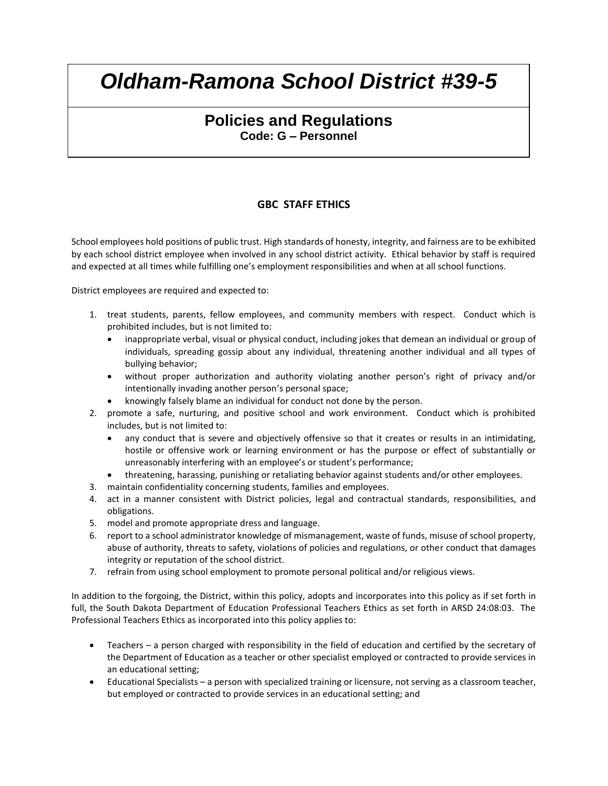# **Policies and Regulations Code: G – Personnel**

## **GBC STAFF ETHICS**

School employees hold positions of public trust. High standards of honesty, integrity, and fairness are to be exhibited by each school district employee when involved in any school district activity. Ethical behavior by staff is required and expected at all times while fulfilling one's employment responsibilities and when at all school functions.

District employees are required and expected to:

- 1. treat students, parents, fellow employees, and community members with respect. Conduct which is prohibited includes, but is not limited to:
	- inappropriate verbal, visual or physical conduct, including jokes that demean an individual or group of individuals, spreading gossip about any individual, threatening another individual and all types of bullying behavior;
	- without proper authorization and authority violating another person's right of privacy and/or intentionally invading another person's personal space;
	- knowingly falsely blame an individual for conduct not done by the person.
- 2. promote a safe, nurturing, and positive school and work environment. Conduct which is prohibited includes, but is not limited to:
	- any conduct that is severe and objectively offensive so that it creates or results in an intimidating, hostile or offensive work or learning environment or has the purpose or effect of substantially or unreasonably interfering with an employee's or student's performance;
	- threatening, harassing, punishing or retaliating behavior against students and/or other employees.
- 3. maintain confidentiality concerning students, families and employees.
- 4. act in a manner consistent with District policies, legal and contractual standards, responsibilities, and obligations.
- 5. model and promote appropriate dress and language.
- 6. report to a school administrator knowledge of mismanagement, waste of funds, misuse of school property, abuse of authority, threats to safety, violations of policies and regulations, or other conduct that damages integrity or reputation of the school district.
- 7. refrain from using school employment to promote personal political and/or religious views.

In addition to the forgoing, the District, within this policy, adopts and incorporates into this policy as if set forth in full, the South Dakota Department of Education Professional Teachers Ethics as set forth in ARSD 24:08:03. The Professional Teachers Ethics as incorporated into this policy applies to:

- Teachers a person charged with responsibility in the field of education and certified by the secretary of the Department of Education as a teacher or other specialist employed or contracted to provide services in an educational setting;
- Educational Specialists a person with specialized training or licensure, not serving as a classroom teacher, but employed or contracted to provide services in an educational setting; and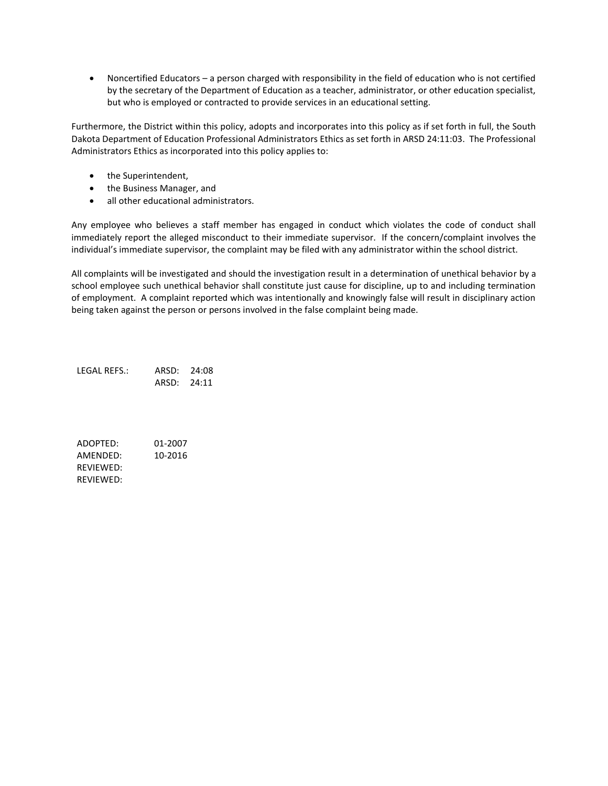Noncertified Educators – a person charged with responsibility in the field of education who is not certified by the secretary of the Department of Education as a teacher, administrator, or other education specialist, but who is employed or contracted to provide services in an educational setting.

Furthermore, the District within this policy, adopts and incorporates into this policy as if set forth in full, the South Dakota Department of Education Professional Administrators Ethics as set forth in ARSD 24:11:03. The Professional Administrators Ethics as incorporated into this policy applies to:

- the Superintendent,
- the Business Manager, and
- all other educational administrators.

Any employee who believes a staff member has engaged in conduct which violates the code of conduct shall immediately report the alleged misconduct to their immediate supervisor. If the concern/complaint involves the individual's immediate supervisor, the complaint may be filed with any administrator within the school district.

All complaints will be investigated and should the investigation result in a determination of unethical behavior by a school employee such unethical behavior shall constitute just cause for discipline, up to and including termination of employment. A complaint reported which was intentionally and knowingly false will result in disciplinary action being taken against the person or persons involved in the false complaint being made.

LEGAL REFS.: ARSD: 24:08 ARSD: 24:11

ADOPTED: 01-2007 AMENDED: 10-2016 REVIEWED: REVIEWED: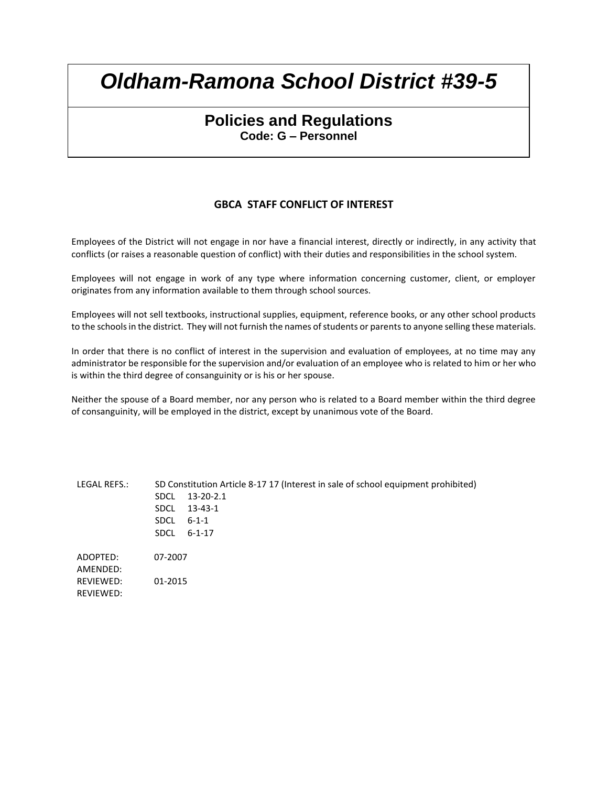# **Policies and Regulations Code: G – Personnel**

## **GBCA STAFF CONFLICT OF INTEREST**

Employees of the District will not engage in nor have a financial interest, directly or indirectly, in any activity that conflicts (or raises a reasonable question of conflict) with their duties and responsibilities in the school system.

Employees will not engage in work of any type where information concerning customer, client, or employer originates from any information available to them through school sources.

Employees will not sell textbooks, instructional supplies, equipment, reference books, or any other school products to the schools in the district. They will not furnish the names of students or parents to anyone selling these materials.

In order that there is no conflict of interest in the supervision and evaluation of employees, at no time may any administrator be responsible for the supervision and/or evaluation of an employee who is related to him or her who is within the third degree of consanguinity or is his or her spouse.

Neither the spouse of a Board member, nor any person who is related to a Board member within the third degree of consanguinity, will be employed in the district, except by unanimous vote of the Board.

LEGAL REFS.: SD Constitution Article 8-17 17 (Interest in sale of school equipment prohibited) SDCL 13-20-2.1 SDCL 13-43-1 SDCL 6-1-1 SDCL 6-1-17 ADOPTED: 07-2007 AMENDED: REVIEWED: 01-2015 REVIEWED: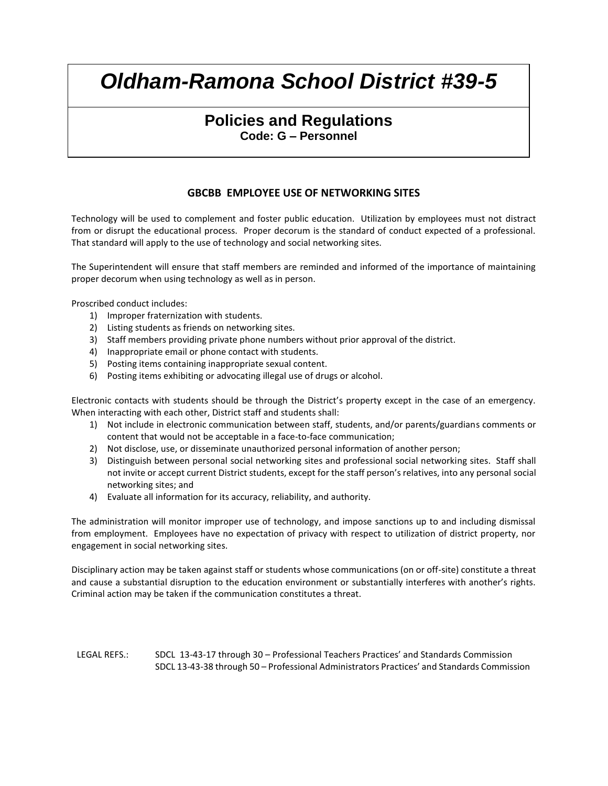# **Policies and Regulations Code: G – Personnel**

## **GBCBB EMPLOYEE USE OF NETWORKING SITES**

Technology will be used to complement and foster public education. Utilization by employees must not distract from or disrupt the educational process. Proper decorum is the standard of conduct expected of a professional. That standard will apply to the use of technology and social networking sites.

The Superintendent will ensure that staff members are reminded and informed of the importance of maintaining proper decorum when using technology as well as in person.

Proscribed conduct includes:

- 1) Improper fraternization with students.
- 2) Listing students as friends on networking sites.
- 3) Staff members providing private phone numbers without prior approval of the district.
- 4) Inappropriate email or phone contact with students.
- 5) Posting items containing inappropriate sexual content.
- 6) Posting items exhibiting or advocating illegal use of drugs or alcohol.

Electronic contacts with students should be through the District's property except in the case of an emergency. When interacting with each other, District staff and students shall:

- 1) Not include in electronic communication between staff, students, and/or parents/guardians comments or content that would not be acceptable in a face-to-face communication;
- 2) Not disclose, use, or disseminate unauthorized personal information of another person;
- 3) Distinguish between personal social networking sites and professional social networking sites. Staff shall not invite or accept current District students, except for the staff person's relatives, into any personal social networking sites; and
- 4) Evaluate all information for its accuracy, reliability, and authority.

The administration will monitor improper use of technology, and impose sanctions up to and including dismissal from employment. Employees have no expectation of privacy with respect to utilization of district property, nor engagement in social networking sites.

Disciplinary action may be taken against staff or students whose communications (on or off-site) constitute a threat and cause a substantial disruption to the education environment or substantially interferes with another's rights. Criminal action may be taken if the communication constitutes a threat.

LEGAL REFS.: SDCL 13-43-17 through 30 – Professional Teachers Practices' and Standards Commission SDCL 13-43-38 through 50 – Professional Administrators Practices' and Standards Commission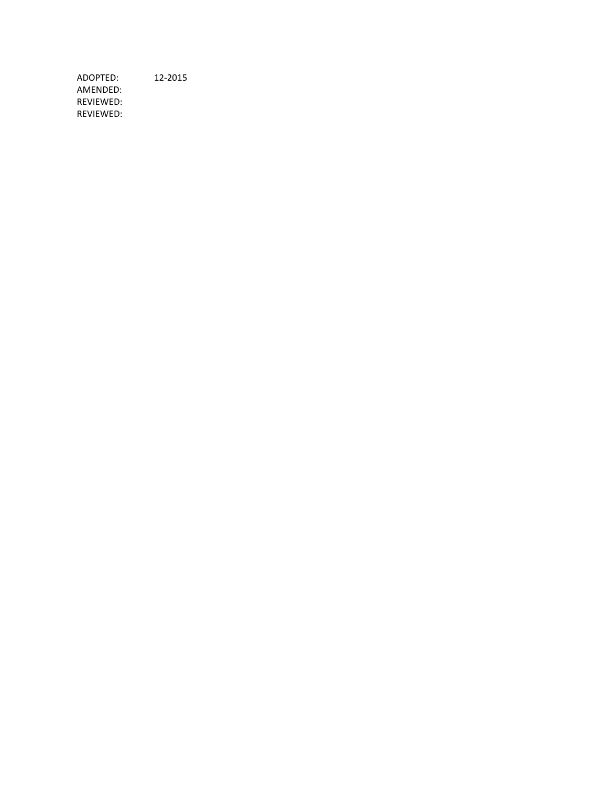ADOPTED: 12-2015 AMENDED: REVIEWED: REVIEWED: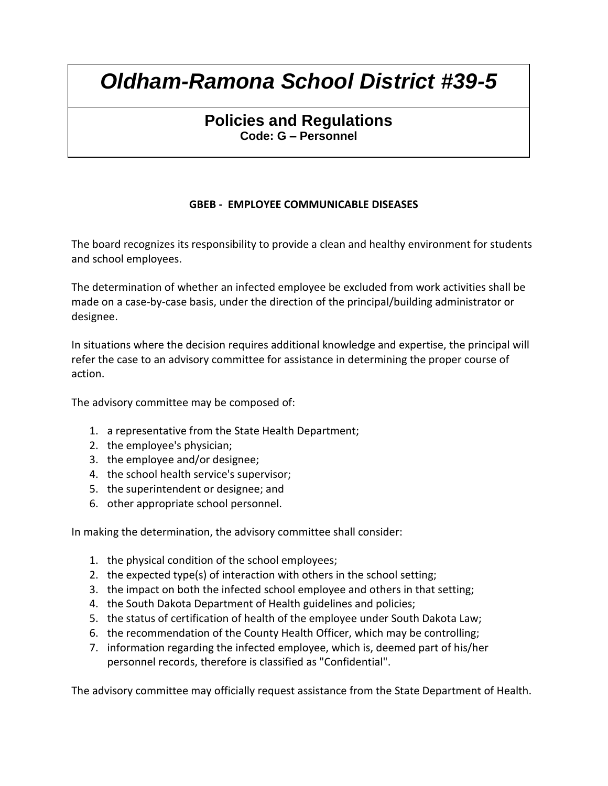# **Policies and Regulations Code: G – Personnel**

## **GBEB - EMPLOYEE COMMUNICABLE DISEASES**

The board recognizes its responsibility to provide a clean and healthy environment for students and school employees.

The determination of whether an infected employee be excluded from work activities shall be made on a case-by-case basis, under the direction of the principal/building administrator or designee.

In situations where the decision requires additional knowledge and expertise, the principal will refer the case to an advisory committee for assistance in determining the proper course of action.

The advisory committee may be composed of:

- 1. a representative from the State Health Department;
- 2. the employee's physician;
- 3. the employee and/or designee;
- 4. the school health service's supervisor;
- 5. the superintendent or designee; and
- 6. other appropriate school personnel.

In making the determination, the advisory committee shall consider:

- 1. the physical condition of the school employees;
- 2. the expected type(s) of interaction with others in the school setting;
- 3. the impact on both the infected school employee and others in that setting;
- 4. the South Dakota Department of Health guidelines and policies;
- 5. the status of certification of health of the employee under South Dakota Law;
- 6. the recommendation of the County Health Officer, which may be controlling;
- 7. information regarding the infected employee, which is, deemed part of his/her personnel records, therefore is classified as "Confidential".

The advisory committee may officially request assistance from the State Department of Health.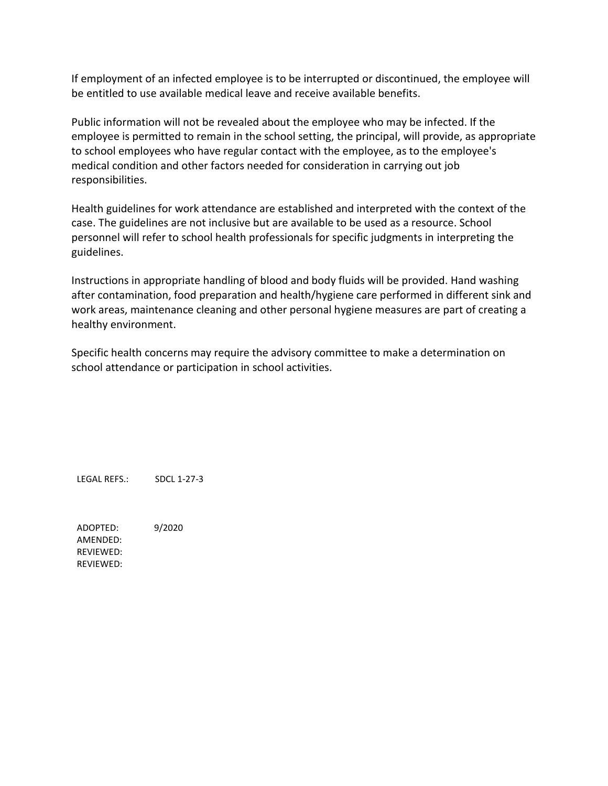If employment of an infected employee is to be interrupted or discontinued, the employee will be entitled to use available medical leave and receive available benefits.

Public information will not be revealed about the employee who may be infected. If the employee is permitted to remain in the school setting, the principal, will provide, as appropriate to school employees who have regular contact with the employee, as to the employee's medical condition and other factors needed for consideration in carrying out job responsibilities.

Health guidelines for work attendance are established and interpreted with the context of the case. The guidelines are not inclusive but are available to be used as a resource. School personnel will refer to school health professionals for specific judgments in interpreting the guidelines.

Instructions in appropriate handling of blood and body fluids will be provided. Hand washing after contamination, food preparation and health/hygiene care performed in different sink and work areas, maintenance cleaning and other personal hygiene measures are part of creating a healthy environment.

Specific health concerns may require the advisory committee to make a determination on school attendance or participation in school activities.

LEGAL REFS.: SDCL 1-27-3

ADOPTED: 9/2020 AMENDED: REVIEWED: REVIEWED: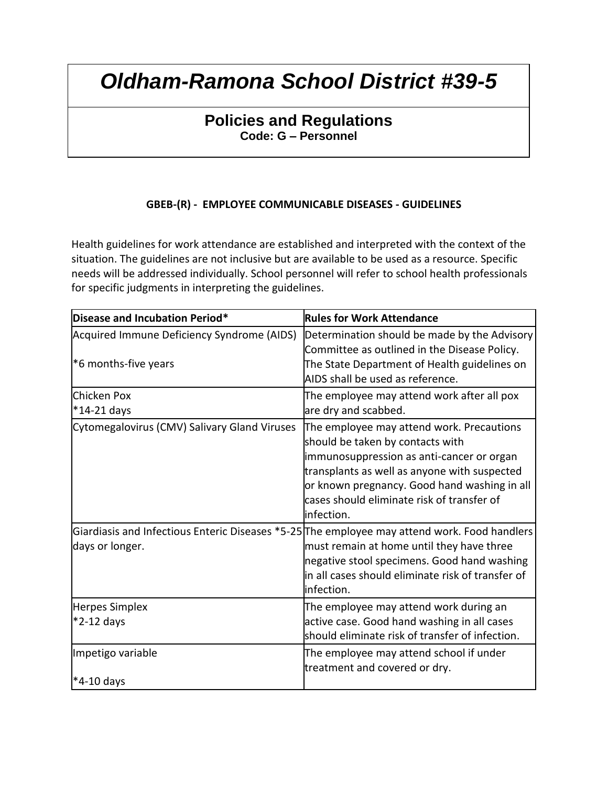# **Policies and Regulations Code: G – Personnel**

## **GBEB-(R) - EMPLOYEE COMMUNICABLE DISEASES - GUIDELINES**

Health guidelines for work attendance are established and interpreted with the context of the situation. The guidelines are not inclusive but are available to be used as a resource. Specific needs will be addressed individually. School personnel will refer to school health professionals for specific judgments in interpreting the guidelines.

| Disease and Incubation Period*                                     | <b>Rules for Work Attendance</b>                                                                                                                                                                                                                                                       |
|--------------------------------------------------------------------|----------------------------------------------------------------------------------------------------------------------------------------------------------------------------------------------------------------------------------------------------------------------------------------|
| Acquired Immune Deficiency Syndrome (AIDS)<br>*6 months-five years | Determination should be made by the Advisory<br>Committee as outlined in the Disease Policy.<br>The State Department of Health guidelines on<br>AIDS shall be used as reference.                                                                                                       |
| Chicken Pox<br>*14-21 days                                         | The employee may attend work after all pox<br>are dry and scabbed.                                                                                                                                                                                                                     |
| Cytomegalovirus (CMV) Salivary Gland Viruses                       | The employee may attend work. Precautions<br>should be taken by contacts with<br>immunosuppression as anti-cancer or organ<br>transplants as well as anyone with suspected<br>or known pregnancy. Good hand washing in all<br>cases should eliminate risk of transfer of<br>infection. |
| days or longer.                                                    | Giardiasis and Infectious Enteric Diseases *5-25 The employee may attend work. Food handlers<br>must remain at home until they have three<br>negative stool specimens. Good hand washing<br>in all cases should eliminate risk of transfer of<br>infection.                            |
| <b>Herpes Simplex</b><br>$*2-12$ days                              | The employee may attend work during an<br>active case. Good hand washing in all cases<br>should eliminate risk of transfer of infection.                                                                                                                                               |
| Impetigo variable<br>*4-10 days                                    | The employee may attend school if under<br>treatment and covered or dry.                                                                                                                                                                                                               |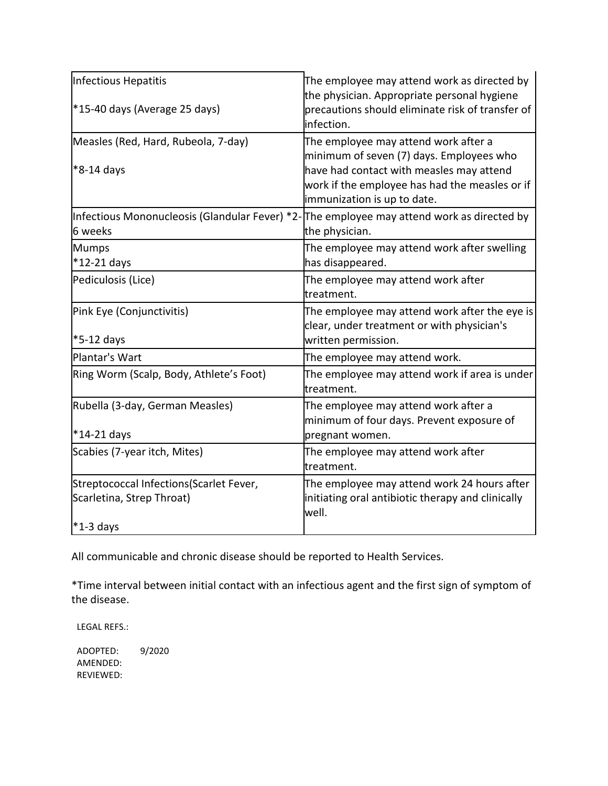| Infectious Hepatitis                                                                                 | The employee may attend work as directed by<br>the physician. Appropriate personal hygiene                                                                                                                    |  |
|------------------------------------------------------------------------------------------------------|---------------------------------------------------------------------------------------------------------------------------------------------------------------------------------------------------------------|--|
| *15-40 days (Average 25 days)                                                                        | precautions should eliminate risk of transfer of<br>infection.                                                                                                                                                |  |
| Measles (Red, Hard, Rubeola, 7-day)<br>*8-14 days                                                    | The employee may attend work after a<br>minimum of seven (7) days. Employees who<br>have had contact with measles may attend<br>work if the employee has had the measles or if<br>immunization is up to date. |  |
| Infectious Mononucleosis (Glandular Fever) *2-The employee may attend work as directed by<br>6 weeks | the physician.                                                                                                                                                                                                |  |
| <b>Mumps</b><br>*12-21 days                                                                          | The employee may attend work after swelling<br>has disappeared.                                                                                                                                               |  |
| Pediculosis (Lice)                                                                                   | The employee may attend work after<br>treatment.                                                                                                                                                              |  |
| Pink Eye (Conjunctivitis)<br>*5-12 days                                                              | The employee may attend work after the eye is<br>clear, under treatment or with physician's<br>written permission.                                                                                            |  |
| Plantar's Wart                                                                                       | The employee may attend work.                                                                                                                                                                                 |  |
| Ring Worm (Scalp, Body, Athlete's Foot)                                                              | The employee may attend work if area is under<br>ltreatment.                                                                                                                                                  |  |
| Rubella (3-day, German Measles)<br>$*14-21$ days                                                     | The employee may attend work after a<br>minimum of four days. Prevent exposure of<br>pregnant women.                                                                                                          |  |
| Scabies (7-year itch, Mites)                                                                         | The employee may attend work after<br>treatment.                                                                                                                                                              |  |
| Streptococcal Infections (Scarlet Fever,<br>Scarletina, Strep Throat)                                | The employee may attend work 24 hours after<br>initiating oral antibiotic therapy and clinically<br>well.                                                                                                     |  |
| $*1-3$ days                                                                                          |                                                                                                                                                                                                               |  |

All communicable and chronic disease should be reported to Health Services.

\*Time interval between initial contact with an infectious agent and the first sign of symptom of the disease.

LEGAL REFS.:

ADOPTED: 9/2020 AMENDED: REVIEWED: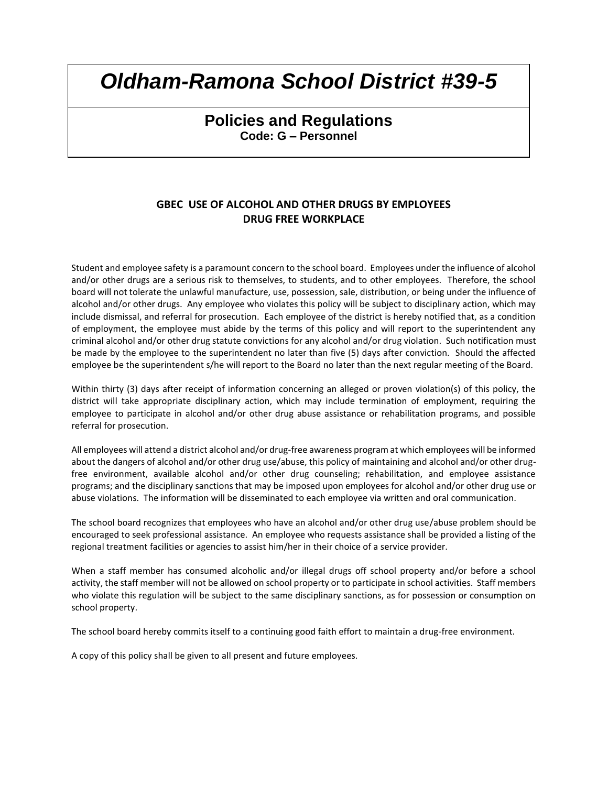# **Policies and Regulations Code: G – Personnel**

## **GBEC USE OF ALCOHOL AND OTHER DRUGS BY EMPLOYEES DRUG FREE WORKPLACE**

Student and employee safety is a paramount concern to the school board. Employees under the influence of alcohol and/or other drugs are a serious risk to themselves, to students, and to other employees. Therefore, the school board will not tolerate the unlawful manufacture, use, possession, sale, distribution, or being under the influence of alcohol and/or other drugs. Any employee who violates this policy will be subject to disciplinary action, which may include dismissal, and referral for prosecution. Each employee of the district is hereby notified that, as a condition of employment, the employee must abide by the terms of this policy and will report to the superintendent any criminal alcohol and/or other drug statute convictions for any alcohol and/or drug violation. Such notification must be made by the employee to the superintendent no later than five (5) days after conviction. Should the affected employee be the superintendent s/he will report to the Board no later than the next regular meeting of the Board.

Within thirty (3) days after receipt of information concerning an alleged or proven violation(s) of this policy, the district will take appropriate disciplinary action, which may include termination of employment, requiring the employee to participate in alcohol and/or other drug abuse assistance or rehabilitation programs, and possible referral for prosecution.

All employees will attend a district alcohol and/or drug-free awareness program at which employees will be informed about the dangers of alcohol and/or other drug use/abuse, this policy of maintaining and alcohol and/or other drugfree environment, available alcohol and/or other drug counseling; rehabilitation, and employee assistance programs; and the disciplinary sanctions that may be imposed upon employees for alcohol and/or other drug use or abuse violations. The information will be disseminated to each employee via written and oral communication.

The school board recognizes that employees who have an alcohol and/or other drug use/abuse problem should be encouraged to seek professional assistance. An employee who requests assistance shall be provided a listing of the regional treatment facilities or agencies to assist him/her in their choice of a service provider.

When a staff member has consumed alcoholic and/or illegal drugs off school property and/or before a school activity, the staff member will not be allowed on school property or to participate in school activities. Staff members who violate this regulation will be subject to the same disciplinary sanctions, as for possession or consumption on school property.

The school board hereby commits itself to a continuing good faith effort to maintain a drug-free environment.

A copy of this policy shall be given to all present and future employees.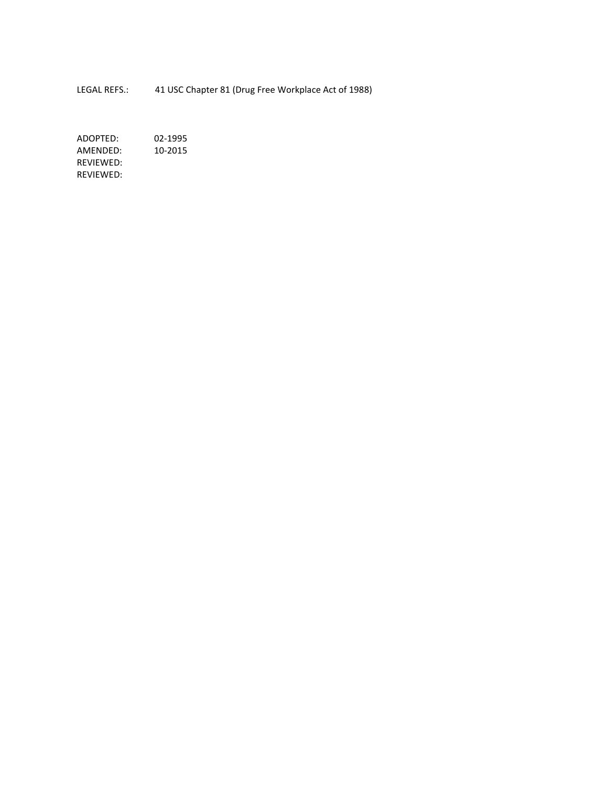LEGAL REFS.: 41 USC Chapter 81 (Drug Free Workplace Act of 1988)

ADOPTED: 02-1995<br>AMENDED: 10-2015 AMENDED: REVIEWED: REVIEWED: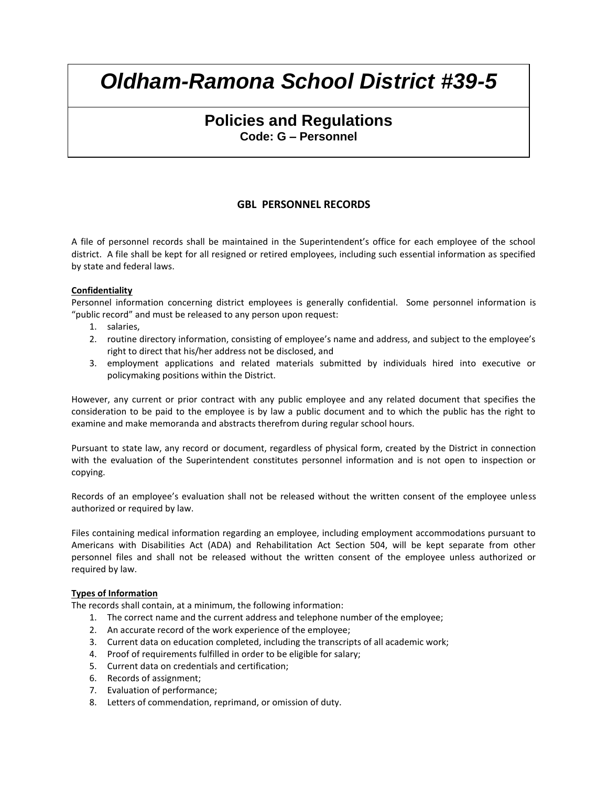# **Policies and Regulations Code: G – Personnel**

## **GBL PERSONNEL RECORDS**

A file of personnel records shall be maintained in the Superintendent's office for each employee of the school district. A file shall be kept for all resigned or retired employees, including such essential information as specified by state and federal laws.

#### **Confidentiality**

Personnel information concerning district employees is generally confidential. Some personnel information is "public record" and must be released to any person upon request:

- 1. salaries,
- 2. routine directory information, consisting of employee's name and address, and subject to the employee's right to direct that his/her address not be disclosed, and
- 3. employment applications and related materials submitted by individuals hired into executive or policymaking positions within the District.

However, any current or prior contract with any public employee and any related document that specifies the consideration to be paid to the employee is by law a public document and to which the public has the right to examine and make memoranda and abstracts therefrom during regular school hours.

Pursuant to state law, any record or document, regardless of physical form, created by the District in connection with the evaluation of the Superintendent constitutes personnel information and is not open to inspection or copying.

Records of an employee's evaluation shall not be released without the written consent of the employee unless authorized or required by law.

Files containing medical information regarding an employee, including employment accommodations pursuant to Americans with Disabilities Act (ADA) and Rehabilitation Act Section 504, will be kept separate from other personnel files and shall not be released without the written consent of the employee unless authorized or required by law.

#### **Types of Information**

The records shall contain, at a minimum, the following information:

- 1. The correct name and the current address and telephone number of the employee;
- 2. An accurate record of the work experience of the employee;
- 3. Current data on education completed, including the transcripts of all academic work;
- 4. Proof of requirements fulfilled in order to be eligible for salary;
- 5. Current data on credentials and certification;
- 6. Records of assignment;
- 7. Evaluation of performance;
- 8. Letters of commendation, reprimand, or omission of duty.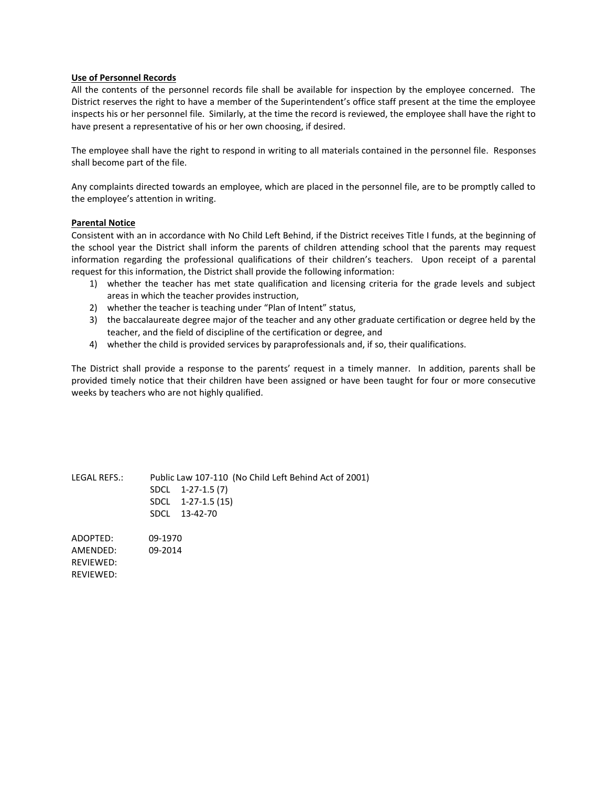#### **Use of Personnel Records**

All the contents of the personnel records file shall be available for inspection by the employee concerned. The District reserves the right to have a member of the Superintendent's office staff present at the time the employee inspects his or her personnel file. Similarly, at the time the record is reviewed, the employee shall have the right to have present a representative of his or her own choosing, if desired.

The employee shall have the right to respond in writing to all materials contained in the personnel file. Responses shall become part of the file.

Any complaints directed towards an employee, which are placed in the personnel file, are to be promptly called to the employee's attention in writing.

#### **Parental Notice**

Consistent with an in accordance with No Child Left Behind, if the District receives Title I funds, at the beginning of the school year the District shall inform the parents of children attending school that the parents may request information regarding the professional qualifications of their children's teachers. Upon receipt of a parental request for this information, the District shall provide the following information:

- 1) whether the teacher has met state qualification and licensing criteria for the grade levels and subject areas in which the teacher provides instruction,
- 2) whether the teacher is teaching under "Plan of Intent" status,
- 3) the baccalaureate degree major of the teacher and any other graduate certification or degree held by the teacher, and the field of discipline of the certification or degree, and
- 4) whether the child is provided services by paraprofessionals and, if so, their qualifications.

The District shall provide a response to the parents' request in a timely manner. In addition, parents shall be provided timely notice that their children have been assigned or have been taught for four or more consecutive weeks by teachers who are not highly qualified.

LEGAL REFS.: Public Law 107-110 (No Child Left Behind Act of 2001) SDCL 1-27-1.5 (7) SDCL 1-27-1.5 (15) SDCL 13-42-70

ADOPTED: 09-1970 AMENDED: 09-2014 REVIEWED: REVIEWED: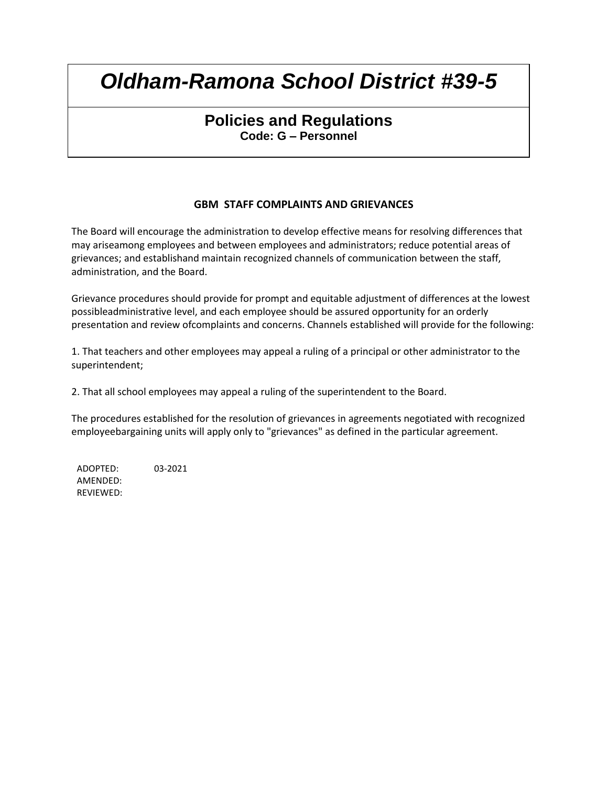# **Policies and Regulations Code: G – Personnel**

## **GBM STAFF COMPLAINTS AND GRIEVANCES**

The Board will encourage the administration to develop effective means for resolving differences that may ariseamong employees and between employees and administrators; reduce potential areas of grievances; and establishand maintain recognized channels of communication between the staff, administration, and the Board.

Grievance procedures should provide for prompt and equitable adjustment of differences at the lowest possibleadministrative level, and each employee should be assured opportunity for an orderly presentation and review ofcomplaints and concerns. Channels established will provide for the following:

1. That teachers and other employees may appeal a ruling of a principal or other administrator to the superintendent;

2. That all school employees may appeal a ruling of the superintendent to the Board.

The procedures established for the resolution of grievances in agreements negotiated with recognized employeebargaining units will apply only to "grievances" as defined in the particular agreement.

ADOPTED: 03-2021 AMENDED: REVIEWED: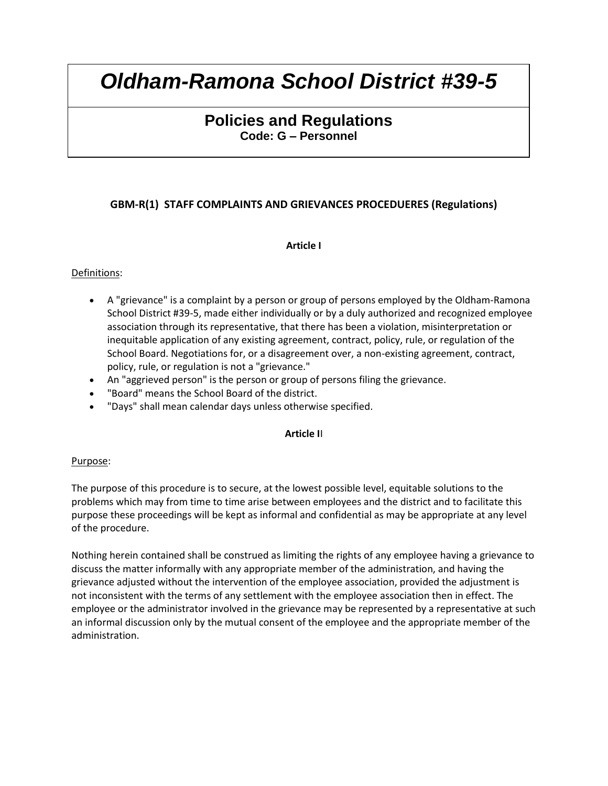# **Policies and Regulations Code: G – Personnel**

## **GBM-R(1) STAFF COMPLAINTS AND GRIEVANCES PROCEDUERES (Regulations)**

## **Article I**

## Definitions:

- A "grievance" is a complaint by a person or group of persons employed by the Oldham-Ramona School District #39-5, made either individually or by a duly authorized and recognized employee association through its representative, that there has been a violation, misinterpretation or inequitable application of any existing agreement, contract, policy, rule, or regulation of the School Board. Negotiations for, or a disagreement over, a non-existing agreement, contract, policy, rule, or regulation is not a "grievance."
- An "aggrieved person" is the person or group of persons filing the grievance.
- "Board" means the School Board of the district.
- "Days" shall mean calendar days unless otherwise specified.

## **Article I**I

### Purpose:

The purpose of this procedure is to secure, at the lowest possible level, equitable solutions to the problems which may from time to time arise between employees and the district and to facilitate this purpose these proceedings will be kept as informal and confidential as may be appropriate at any level of the procedure.

Nothing herein contained shall be construed as limiting the rights of any employee having a grievance to discuss the matter informally with any appropriate member of the administration, and having the grievance adjusted without the intervention of the employee association, provided the adjustment is not inconsistent with the terms of any settlement with the employee association then in effect. The employee or the administrator involved in the grievance may be represented by a representative at such an informal discussion only by the mutual consent of the employee and the appropriate member of the administration.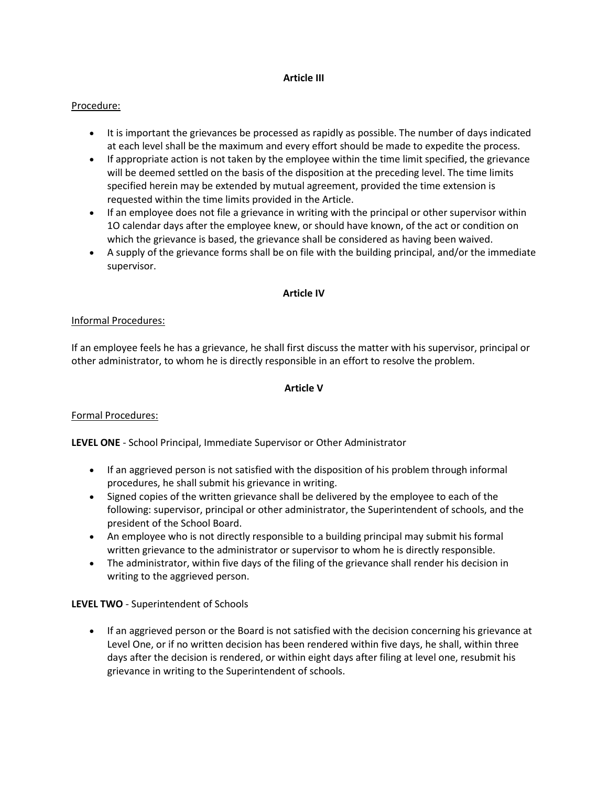### **Article III**

## Procedure:

- It is important the grievances be processed as rapidly as possible. The number of days indicated at each level shall be the maximum and every effort should be made to expedite the process.
- If appropriate action is not taken by the employee within the time limit specified, the grievance will be deemed settled on the basis of the disposition at the preceding level. The time limits specified herein may be extended by mutual agreement, provided the time extension is requested within the time limits provided in the Article.
- If an employee does not file a grievance in writing with the principal or other supervisor within 1O calendar days after the employee knew, or should have known, of the act or condition on which the grievance is based, the grievance shall be considered as having been waived.
- A supply of the grievance forms shall be on file with the building principal, and/or the immediate supervisor.

#### **Article IV**

### Informal Procedures:

If an employee feels he has a grievance, he shall first discuss the matter with his supervisor, principal or other administrator, to whom he is directly responsible in an effort to resolve the problem.

#### **Article V**

### Formal Procedures:

**LEVEL ONE** - School Principal, Immediate Supervisor or Other Administrator

- If an aggrieved person is not satisfied with the disposition of his problem through informal procedures, he shall submit his grievance in writing.
- Signed copies of the written grievance shall be delivered by the employee to each of the following: supervisor, principal or other administrator, the Superintendent of schools, and the president of the School Board.
- An employee who is not directly responsible to a building principal may submit his formal written grievance to the administrator or supervisor to whom he is directly responsible.
- The administrator, within five days of the filing of the grievance shall render his decision in writing to the aggrieved person.

### **LEVEL TWO** - Superintendent of Schools

• If an aggrieved person or the Board is not satisfied with the decision concerning his grievance at Level One, or if no written decision has been rendered within five days, he shall, within three days after the decision is rendered, or within eight days after filing at level one, resubmit his grievance in writing to the Superintendent of schools.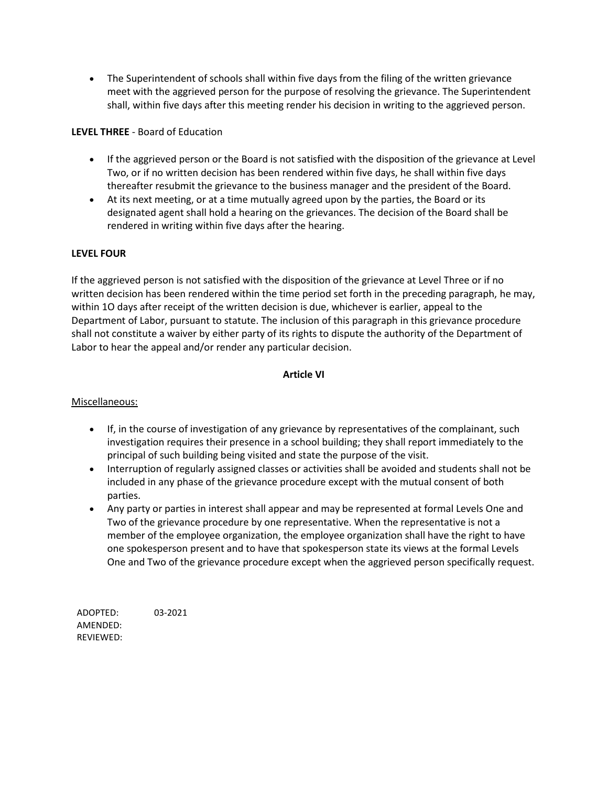The Superintendent of schools shall within five days from the filing of the written grievance meet with the aggrieved person for the purpose of resolving the grievance. The Superintendent shall, within five days after this meeting render his decision in writing to the aggrieved person.

## **LEVEL THREE** - Board of Education

- If the aggrieved person or the Board is not satisfied with the disposition of the grievance at Level Two, or if no written decision has been rendered within five days, he shall within five days thereafter resubmit the grievance to the business manager and the president of the Board.
- At its next meeting, or at a time mutually agreed upon by the parties, the Board or its designated agent shall hold a hearing on the grievances. The decision of the Board shall be rendered in writing within five days after the hearing.

## **LEVEL FOUR**

If the aggrieved person is not satisfied with the disposition of the grievance at Level Three or if no written decision has been rendered within the time period set forth in the preceding paragraph, he may, within 1O days after receipt of the written decision is due, whichever is earlier, appeal to the Department of Labor, pursuant to statute. The inclusion of this paragraph in this grievance procedure shall not constitute a waiver by either party of its rights to dispute the authority of the Department of Labor to hear the appeal and/or render any particular decision.

### **Article VI**

### Miscellaneous:

- If, in the course of investigation of any grievance by representatives of the complainant, such investigation requires their presence in a school building; they shall report immediately to the principal of such building being visited and state the purpose of the visit.
- Interruption of regularly assigned classes or activities shall be avoided and students shall not be included in any phase of the grievance procedure except with the mutual consent of both parties.
- Any party or parties in interest shall appear and may be represented at formal Levels One and Two of the grievance procedure by one representative. When the representative is not a member of the employee organization, the employee organization shall have the right to have one spokesperson present and to have that spokesperson state its views at the formal Levels One and Two of the grievance procedure except when the aggrieved person specifically request.

ADOPTED: 03-2021 AMENDED: REVIEWED: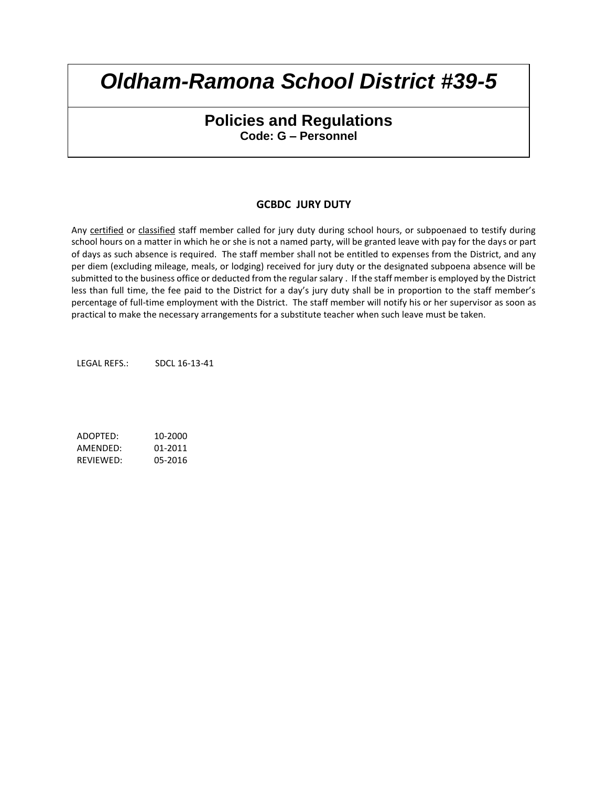# **Policies and Regulations Code: G – Personnel**

## **GCBDC JURY DUTY**

Any certified or classified staff member called for jury duty during school hours, or subpoenaed to testify during school hours on a matter in which he or she is not a named party, will be granted leave with pay for the days or part of days as such absence is required. The staff member shall not be entitled to expenses from the District, and any per diem (excluding mileage, meals, or lodging) received for jury duty or the designated subpoena absence will be submitted to the business office or deducted from the regular salary . If the staff member is employed by the District less than full time, the fee paid to the District for a day's jury duty shall be in proportion to the staff member's percentage of full-time employment with the District. The staff member will notify his or her supervisor as soon as practical to make the necessary arrangements for a substitute teacher when such leave must be taken.

LEGAL REFS.: SDCL 16-13-41

ADOPTED: 10-2000 AMENDED: 01-2011 REVIEWED: 05-2016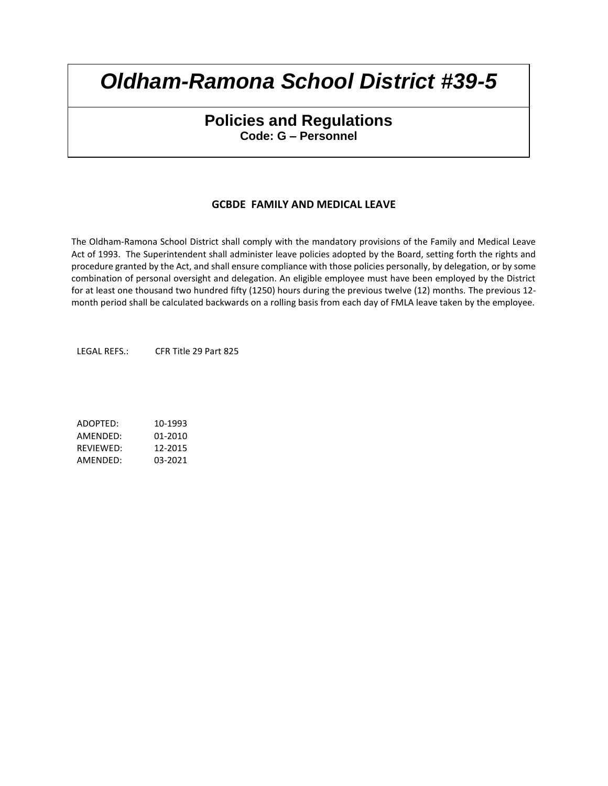# **Policies and Regulations Code: G – Personnel**

## **GCBDE FAMILY AND MEDICAL LEAVE**

The Oldham-Ramona School District shall comply with the mandatory provisions of the Family and Medical Leave Act of 1993. The Superintendent shall administer leave policies adopted by the Board, setting forth the rights and procedure granted by the Act, and shall ensure compliance with those policies personally, by delegation, or by some combination of personal oversight and delegation. An eligible employee must have been employed by the District for at least one thousand two hundred fifty (1250) hours during the previous twelve (12) months. The previous 12 month period shall be calculated backwards on a rolling basis from each day of FMLA leave taken by the employee.

LEGAL REFS.: CFR Title 29 Part 825

ADOPTED: 10-1993 AMENDED: 01-2010 REVIEWED: 12-2015 AMENDED: 03-2021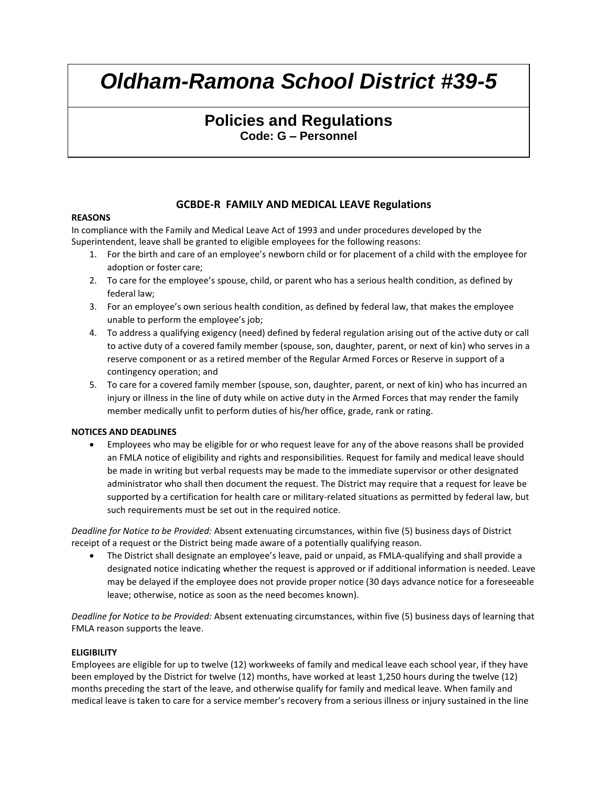# **Policies and Regulations Code: G – Personnel**

## **GCBDE-R FAMILY AND MEDICAL LEAVE Regulations**

#### **REASONS**

In compliance with the Family and Medical Leave Act of 1993 and under procedures developed by the Superintendent, leave shall be granted to eligible employees for the following reasons:

- 1. For the birth and care of an employee's newborn child or for placement of a child with the employee for adoption or foster care;
- 2. To care for the employee's spouse, child, or parent who has a serious health condition, as defined by federal law;
- 3. For an employee's own serious health condition, as defined by federal law, that makes the employee unable to perform the employee's job;
- 4. To address a qualifying exigency (need) defined by federal regulation arising out of the active duty or call to active duty of a covered family member (spouse, son, daughter, parent, or next of kin) who serves in a reserve component or as a retired member of the Regular Armed Forces or Reserve in support of a contingency operation; and
- 5. To care for a covered family member (spouse, son, daughter, parent, or next of kin) who has incurred an injury or illness in the line of duty while on active duty in the Armed Forces that may render the family member medically unfit to perform duties of his/her office, grade, rank or rating.

#### **NOTICES AND DEADLINES**

 Employees who may be eligible for or who request leave for any of the above reasons shall be provided an FMLA notice of eligibility and rights and responsibilities. Request for family and medical leave should be made in writing but verbal requests may be made to the immediate supervisor or other designated administrator who shall then document the request. The District may require that a request for leave be supported by a certification for health care or military-related situations as permitted by federal law, but such requirements must be set out in the required notice.

*Deadline for Notice to be Provided:* Absent extenuating circumstances, within five (5) business days of District receipt of a request or the District being made aware of a potentially qualifying reason.

 The District shall designate an employee's leave, paid or unpaid, as FMLA-qualifying and shall provide a designated notice indicating whether the request is approved or if additional information is needed. Leave may be delayed if the employee does not provide proper notice (30 days advance notice for a foreseeable leave; otherwise, notice as soon as the need becomes known).

*Deadline for Notice to be Provided:* Absent extenuating circumstances, within five (5) business days of learning that FMLA reason supports the leave.

#### **ELIGIBILITY**

Employees are eligible for up to twelve (12) workweeks of family and medical leave each school year, if they have been employed by the District for twelve (12) months, have worked at least 1,250 hours during the twelve (12) months preceding the start of the leave, and otherwise qualify for family and medical leave. When family and medical leave is taken to care for a service member's recovery from a serious illness or injury sustained in the line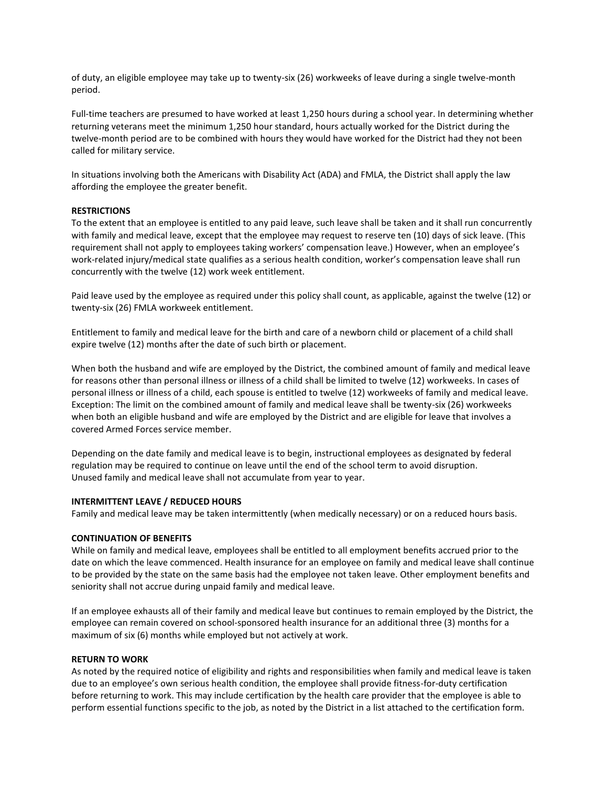of duty, an eligible employee may take up to twenty-six (26) workweeks of leave during a single twelve-month period.

Full-time teachers are presumed to have worked at least 1,250 hours during a school year. In determining whether returning veterans meet the minimum 1,250 hour standard, hours actually worked for the District during the twelve-month period are to be combined with hours they would have worked for the District had they not been called for military service.

In situations involving both the Americans with Disability Act (ADA) and FMLA, the District shall apply the law affording the employee the greater benefit.

#### **RESTRICTIONS**

To the extent that an employee is entitled to any paid leave, such leave shall be taken and it shall run concurrently with family and medical leave, except that the employee may request to reserve ten (10) days of sick leave. (This requirement shall not apply to employees taking workers' compensation leave.) However, when an employee's work-related injury/medical state qualifies as a serious health condition, worker's compensation leave shall run concurrently with the twelve (12) work week entitlement.

Paid leave used by the employee as required under this policy shall count, as applicable, against the twelve (12) or twenty-six (26) FMLA workweek entitlement.

Entitlement to family and medical leave for the birth and care of a newborn child or placement of a child shall expire twelve (12) months after the date of such birth or placement.

When both the husband and wife are employed by the District, the combined amount of family and medical leave for reasons other than personal illness or illness of a child shall be limited to twelve (12) workweeks. In cases of personal illness or illness of a child, each spouse is entitled to twelve (12) workweeks of family and medical leave. Exception: The limit on the combined amount of family and medical leave shall be twenty-six (26) workweeks when both an eligible husband and wife are employed by the District and are eligible for leave that involves a covered Armed Forces service member.

Depending on the date family and medical leave is to begin, instructional employees as designated by federal regulation may be required to continue on leave until the end of the school term to avoid disruption. Unused family and medical leave shall not accumulate from year to year.

#### **INTERMITTENT LEAVE / REDUCED HOURS**

Family and medical leave may be taken intermittently (when medically necessary) or on a reduced hours basis.

#### **CONTINUATION OF BENEFITS**

While on family and medical leave, employees shall be entitled to all employment benefits accrued prior to the date on which the leave commenced. Health insurance for an employee on family and medical leave shall continue to be provided by the state on the same basis had the employee not taken leave. Other employment benefits and seniority shall not accrue during unpaid family and medical leave.

If an employee exhausts all of their family and medical leave but continues to remain employed by the District, the employee can remain covered on school-sponsored health insurance for an additional three (3) months for a maximum of six (6) months while employed but not actively at work.

#### **RETURN TO WORK**

As noted by the required notice of eligibility and rights and responsibilities when family and medical leave is taken due to an employee's own serious health condition, the employee shall provide fitness-for-duty certification before returning to work. This may include certification by the health care provider that the employee is able to perform essential functions specific to the job, as noted by the District in a list attached to the certification form.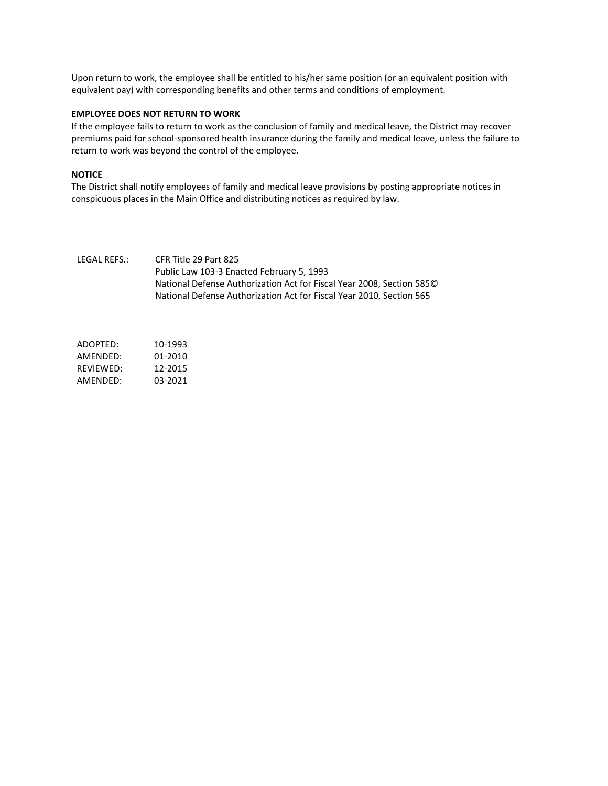Upon return to work, the employee shall be entitled to his/her same position (or an equivalent position with equivalent pay) with corresponding benefits and other terms and conditions of employment.

#### **EMPLOYEE DOES NOT RETURN TO WORK**

If the employee fails to return to work as the conclusion of family and medical leave, the District may recover premiums paid for school-sponsored health insurance during the family and medical leave, unless the failure to return to work was beyond the control of the employee.

#### **NOTICE**

The District shall notify employees of family and medical leave provisions by posting appropriate notices in conspicuous places in the Main Office and distributing notices as required by law.

#### LEGAL REFS.: CFR Title 29 Part 825 Public Law 103-3 Enacted February 5, 1993 National Defense Authorization Act for Fiscal Year 2008, Section 585© National Defense Authorization Act for Fiscal Year 2010, Section 565

ADOPTED: 10-1993 AMENDED: 01-2010 REVIEWED: 12-2015 AMENDED: 03-2021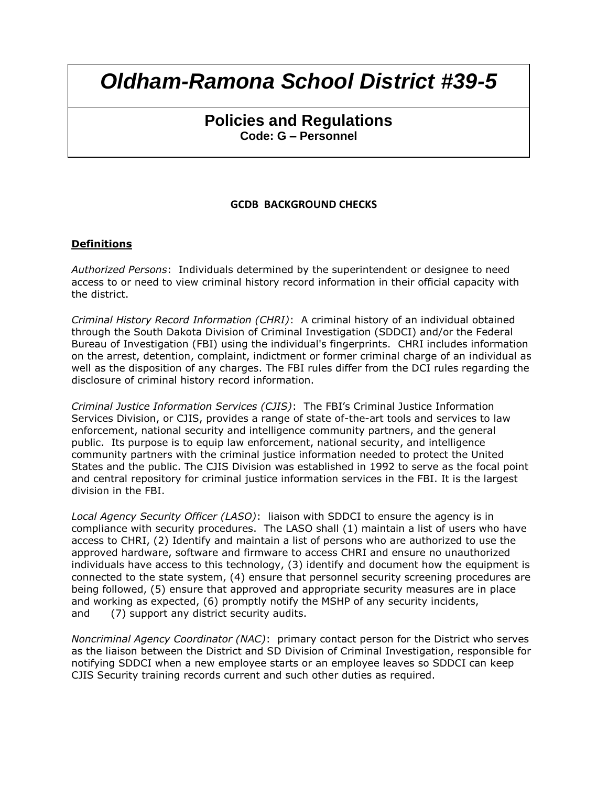# **Policies and Regulations Code: G – Personnel**

## **GCDB BACKGROUND CHECKS**

## **Definitions**

*Authorized Persons*: Individuals determined by the superintendent or designee to need access to or need to view criminal history record information in their official capacity with the district.

*Criminal History Record Information (CHRI)*: A criminal history of an individual obtained through the South Dakota Division of Criminal Investigation (SDDCI) and/or the Federal Bureau of Investigation (FBI) using the individual's fingerprints. CHRI includes information on the arrest, detention, complaint, indictment or former criminal charge of an individual as well as the disposition of any charges. The FBI rules differ from the DCI rules regarding the disclosure of criminal history record information.

*Criminal Justice Information Services (CJIS)*: The FBI's Criminal Justice Information Services Division, or CJIS, provides a range of state of-the-art tools and services to law enforcement, national security and intelligence community partners, and the general public. Its purpose is to equip law enforcement, national security, and intelligence community partners with the criminal justice information needed to protect the United States and the public. The CJIS Division was established in 1992 to serve as the focal point and central repository for criminal justice information services in the FBI. It is the largest division in the FBI.

*Local Agency Security Officer (LASO)*: liaison with SDDCI to ensure the agency is in compliance with security procedures. The LASO shall (1) maintain a list of users who have access to CHRI, (2) Identify and maintain a list of persons who are authorized to use the approved hardware, software and firmware to access CHRI and ensure no unauthorized individuals have access to this technology, (3) identify and document how the equipment is connected to the state system, (4) ensure that personnel security screening procedures are being followed, (5) ensure that approved and appropriate security measures are in place and working as expected, (6) promptly notify the MSHP of any security incidents, and (7) support any district security audits.

*Noncriminal Agency Coordinator (NAC)*: primary contact person for the District who serves as the liaison between the District and SD Division of Criminal Investigation, responsible for notifying SDDCI when a new employee starts or an employee leaves so SDDCI can keep CJIS Security training records current and such other duties as required.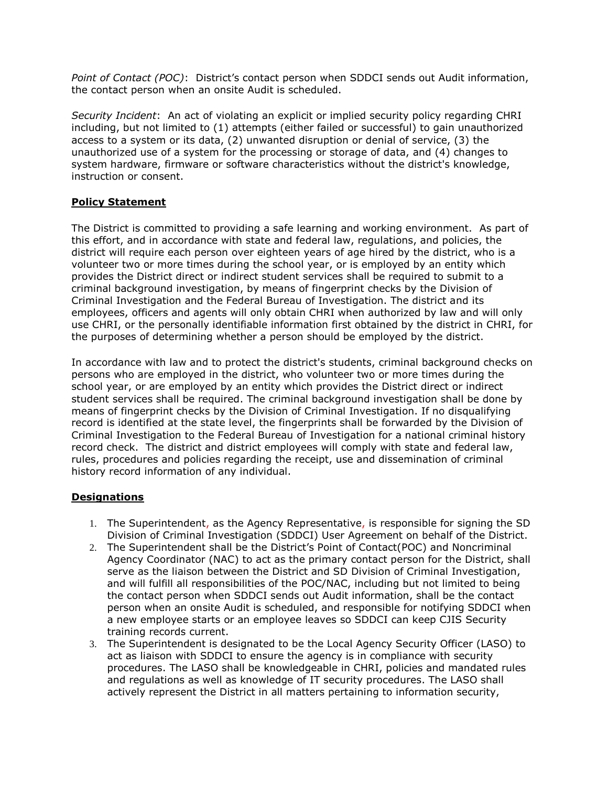*Point of Contact (POC)*: District's contact person when SDDCI sends out Audit information, the contact person when an onsite Audit is scheduled.

*Security Incident*: An act of violating an explicit or implied security policy regarding CHRI including, but not limited to (1) attempts (either failed or successful) to gain unauthorized access to a system or its data, (2) unwanted disruption or denial of service, (3) the unauthorized use of a system for the processing or storage of data, and (4) changes to system hardware, firmware or software characteristics without the district's knowledge, instruction or consent.

## **Policy Statement**

The District is committed to providing a safe learning and working environment. As part of this effort, and in accordance with state and federal law, regulations, and policies, the district will require each person over eighteen years of age hired by the district, who is a volunteer two or more times during the school year, or is employed by an entity which provides the District direct or indirect student services shall be required to submit to a criminal background investigation, by means of fingerprint checks by the Division of Criminal Investigation and the Federal Bureau of Investigation. The district and its employees, officers and agents will only obtain CHRI when authorized by law and will only use CHRI, or the personally identifiable information first obtained by the district in CHRI, for the purposes of determining whether a person should be employed by the district.

In accordance with law and to protect the district's students, criminal background checks on persons who are employed in the district, who volunteer two or more times during the school year, or are employed by an entity which provides the District direct or indirect student services shall be required. The criminal background investigation shall be done by means of fingerprint checks by the Division of Criminal Investigation. If no disqualifying record is identified at the state level, the fingerprints shall be forwarded by the Division of Criminal Investigation to the Federal Bureau of Investigation for a national criminal history record check. The district and district employees will comply with state and federal law, rules, procedures and policies regarding the receipt, use and dissemination of criminal history record information of any individual.

## **Designations**

- 1. The Superintendent, as the Agency Representative, is responsible for signing the SD Division of Criminal Investigation (SDDCI) User Agreement on behalf of the District.
- 2. The Superintendent shall be the District's Point of Contact(POC) and Noncriminal Agency Coordinator (NAC) to act as the primary contact person for the District, shall serve as the liaison between the District and SD Division of Criminal Investigation, and will fulfill all responsibilities of the POC/NAC, including but not limited to being the contact person when SDDCI sends out Audit information, shall be the contact person when an onsite Audit is scheduled, and responsible for notifying SDDCI when a new employee starts or an employee leaves so SDDCI can keep CJIS Security training records current.
- 3. The Superintendent is designated to be the Local Agency Security Officer (LASO) to act as liaison with SDDCI to ensure the agency is in compliance with security procedures. The LASO shall be knowledgeable in CHRI, policies and mandated rules and regulations as well as knowledge of IT security procedures. The LASO shall actively represent the District in all matters pertaining to information security,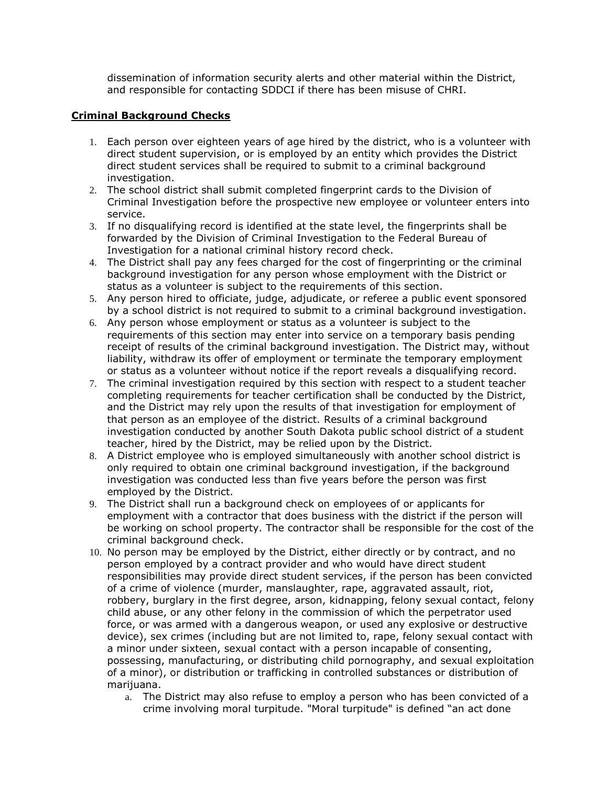dissemination of information security alerts and other material within the District, and responsible for contacting SDDCI if there has been misuse of CHRI.

## **Criminal Background Checks**

- 1. Each person over eighteen years of age hired by the district, who is a volunteer with direct student supervision, or is employed by an entity which provides the District direct student services shall be required to submit to a criminal background investigation.
- 2. The school district shall submit completed fingerprint cards to the Division of Criminal Investigation before the prospective new employee or volunteer enters into service.
- 3. If no disqualifying record is identified at the state level, the fingerprints shall be forwarded by the Division of Criminal Investigation to the Federal Bureau of Investigation for a national criminal history record check.
- 4. The District shall pay any fees charged for the cost of fingerprinting or the criminal background investigation for any person whose employment with the District or status as a volunteer is subject to the requirements of this section.
- 5. Any person hired to officiate, judge, adjudicate, or referee a public event sponsored by a school district is not required to submit to a criminal background investigation.
- 6. Any person whose employment or status as a volunteer is subject to the requirements of this section may enter into service on a temporary basis pending receipt of results of the criminal background investigation. The District may, without liability, withdraw its offer of employment or terminate the temporary employment or status as a volunteer without notice if the report reveals a disqualifying record.
- 7. The criminal investigation required by this section with respect to a student teacher completing requirements for teacher certification shall be conducted by the District, and the District may rely upon the results of that investigation for employment of that person as an employee of the district. Results of a criminal background investigation conducted by another South Dakota public school district of a student teacher, hired by the District, may be relied upon by the District.
- 8. A District employee who is employed simultaneously with another school district is only required to obtain one criminal background investigation, if the background investigation was conducted less than five years before the person was first employed by the District.
- 9. The District shall run a background check on employees of or applicants for employment with a contractor that does business with the district if the person will be working on school property. The contractor shall be responsible for the cost of the criminal background check.
- 10. No person may be employed by the District, either directly or by contract, and no person employed by a contract provider and who would have direct student responsibilities may provide direct student services, if the person has been convicted of a crime of violence (murder, manslaughter, rape, aggravated assault, riot, robbery, burglary in the first degree, arson, kidnapping, felony sexual contact, felony child abuse, or any other felony in the commission of which the perpetrator used force, or was armed with a dangerous weapon, or used any explosive or destructive device), sex crimes (including but are not limited to, rape, felony sexual contact with a minor under sixteen, sexual contact with a person incapable of consenting, possessing, manufacturing, or distributing child pornography, and sexual exploitation of a minor), or distribution or trafficking in controlled substances or distribution of marijuana.
	- a. The District may also refuse to employ a person who has been convicted of a crime involving moral turpitude. "Moral turpitude" is defined "an act done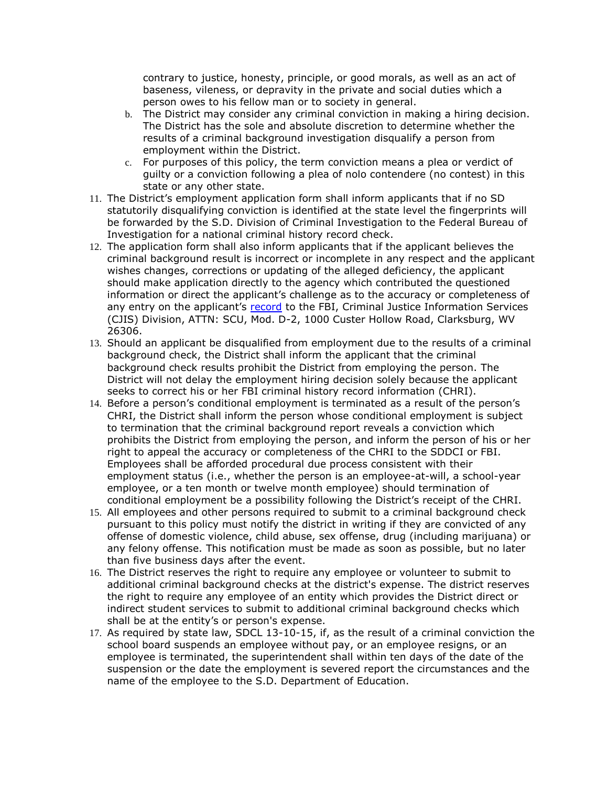contrary to justice, honesty, principle, or good morals, as well as an act of baseness, vileness, or depravity in the private and social duties which a person owes to his fellow man or to society in general.

- b. The District may consider any criminal conviction in making a hiring decision. The District has the sole and absolute discretion to determine whether the results of a criminal background investigation disqualify a person from employment within the District.
- c. For purposes of this policy, the term conviction means a plea or verdict of guilty or a conviction following a plea of nolo contendere (no contest) in this state or any other state.
- 11. The District's employment application form shall inform applicants that if no SD statutorily disqualifying conviction is identified at the state level the fingerprints will be forwarded by the S.D. Division of Criminal Investigation to the Federal Bureau of Investigation for a national criminal history record check.
- 12. The application form shall also inform applicants that if the applicant believes the criminal background result is incorrect or incomplete in any respect and the applicant wishes changes, corrections or updating of the alleged deficiency, the applicant should make application directly to the agency which contributed the questioned information or direct the applicant's challenge as to the accuracy or completeness of any entry on the applicant's [record](https://www.law.cornell.edu/definitions/index.php?width=840&height=800&iframe=true&def_id=95c462668273e112d9f3bba7fb30e49f&term_occur=2&term_src=Title:28:Chapter:I:Part:16:Subpart:C:16.34) to the FBI, Criminal Justice Information Services (CJIS) Division, ATTN: SCU, Mod. D-2, 1000 Custer Hollow Road, Clarksburg, WV 26306.
- 13. Should an applicant be disqualified from employment due to the results of a criminal background check, the District shall inform the applicant that the criminal background check results prohibit the District from employing the person. The District will not delay the employment hiring decision solely because the applicant seeks to correct his or her FBI criminal history record information (CHRI).
- 14. Before a person's conditional employment is terminated as a result of the person's CHRI, the District shall inform the person whose conditional employment is subject to termination that the criminal background report reveals a conviction which prohibits the District from employing the person, and inform the person of his or her right to appeal the accuracy or completeness of the CHRI to the SDDCI or FBI. Employees shall be afforded procedural due process consistent with their employment status (i.e., whether the person is an employee-at-will, a school-year employee, or a ten month or twelve month employee) should termination of conditional employment be a possibility following the District's receipt of the CHRI.
- 15. All employees and other persons required to submit to a criminal background check pursuant to this policy must notify the district in writing if they are convicted of any offense of domestic violence, child abuse, sex offense, drug (including marijuana) or any felony offense. This notification must be made as soon as possible, but no later than five business days after the event.
- 16. The District reserves the right to require any employee or volunteer to submit to additional criminal background checks at the district's expense. The district reserves the right to require any employee of an entity which provides the District direct or indirect student services to submit to additional criminal background checks which shall be at the entity's or person's expense.
- 17. As required by state law, SDCL 13-10-15, if, as the result of a criminal conviction the school board suspends an employee without pay, or an employee resigns, or an employee is terminated, the superintendent shall within ten days of the date of the suspension or the date the employment is severed report the circumstances and the name of the employee to the S.D. Department of Education.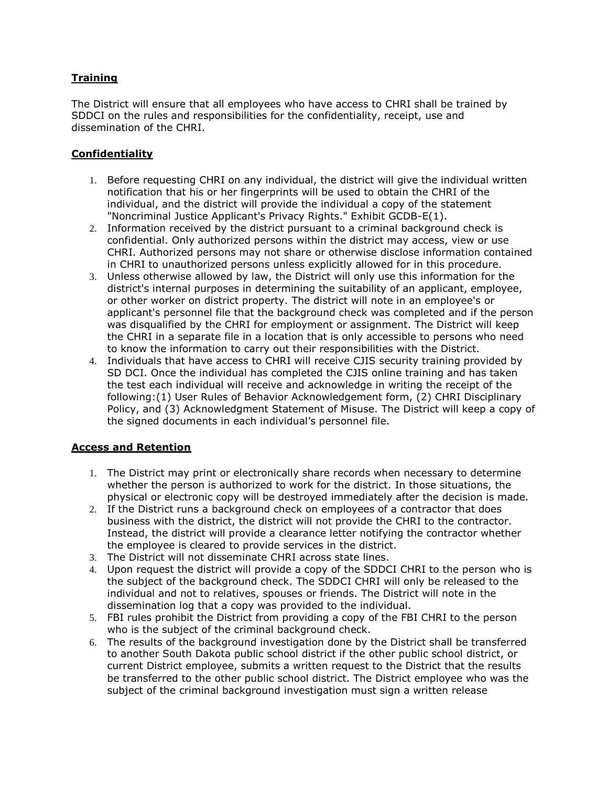## **Training**

The District will ensure that all employees who have access to CHRI shall be trained by SDDCI on the rules and responsibilities for the confidentiality, receipt, use and dissemination of the CHRI.

## **Confidentiality**

- 1. Before requesting CHRI on any individual, the district will give the individual written notification that his or her fingerprints will be used to obtain the CHRI of the individual, and the district will provide the individual a copy of the statement "Noncriminal Justice Applicant's Privacy Rights." Exhibit GCDB-E(1).
- 2. Information received by the district pursuant to a criminal background check is confidential. Only authorized persons within the district may access, view or use CHRI. Authorized persons may not share or otherwise disclose information contained in CHRI to unauthorized persons unless explicitly allowed for in this procedure.
- 3. Unless otherwise allowed by law, the District will only use this information for the district's internal purposes in determining the suitability of an applicant, employee, or other worker on district property. The district will note in an employee's or applicant's personnel file that the background check was completed and if the person was disqualified by the CHRI for employment or assignment. The District will keep the CHRI in a separate file in a location that is only accessible to persons who need to know the information to carry out their responsibilities with the District.
- 4. Individuals that have access to CHRI will receive CJIS security training provided by SD DCI. Once the individual has completed the CJIS online training and has taken the test each individual will receive and acknowledge in writing the receipt of the following:(1) User Rules of Behavior Acknowledgement form, (2) CHRI Disciplinary Policy, and (3) Acknowledgment Statement of Misuse. The District will keep a copy of the signed documents in each individual's personnel file.

## **Access and Retention**

- 1. The District may print or electronically share records when necessary to determine whether the person is authorized to work for the district. In those situations, the physical or electronic copy will be destroyed immediately after the decision is made.
- 2. If the District runs a background check on employees of a contractor that does business with the district, the district will not provide the CHRI to the contractor. Instead, the district will provide a clearance letter notifying the contractor whether the employee is cleared to provide services in the district.
- 3. The District will not disseminate CHRI across state lines.
- 4. Upon request the district will provide a copy of the SDDCI CHRI to the person who is the subject of the background check. The SDDCI CHRI will only be released to the individual and not to relatives, spouses or friends. The District will note in the dissemination log that a copy was provided to the individual.
- 5. FBI rules prohibit the District from providing a copy of the FBI CHRI to the person who is the subject of the criminal background check.
- 6. The results of the background investigation done by the District shall be transferred to another South Dakota public school district if the other public school district, or current District employee, submits a written request to the District that the results be transferred to the other public school district. The District employee who was the subject of the criminal background investigation must sign a written release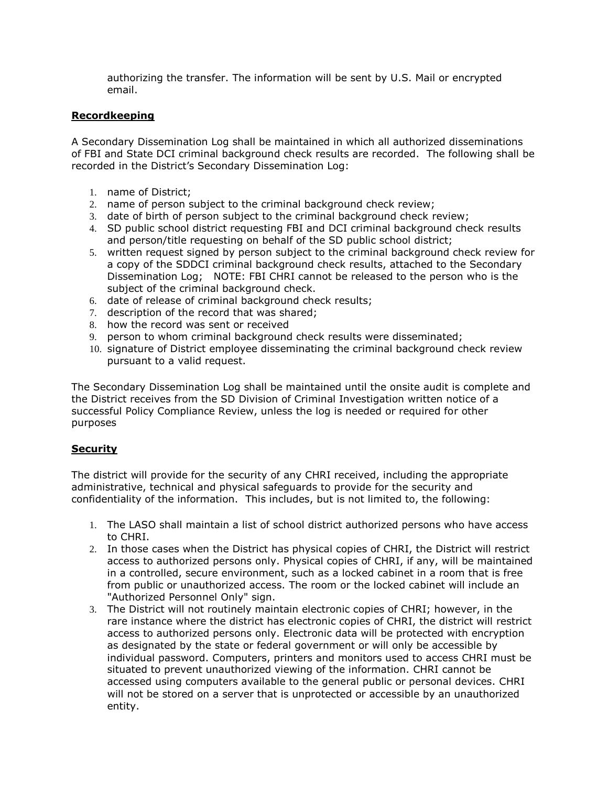authorizing the transfer. The information will be sent by U.S. Mail or encrypted email.

## **Recordkeeping**

A Secondary Dissemination Log shall be maintained in which all authorized disseminations of FBI and State DCI criminal background check results are recorded. The following shall be recorded in the District's Secondary Dissemination Log:

- 1. name of District;
- 2. name of person subject to the criminal background check review;
- 3. date of birth of person subject to the criminal background check review;
- 4. SD public school district requesting FBI and DCI criminal background check results and person/title requesting on behalf of the SD public school district;
- 5. written request signed by person subject to the criminal background check review for a copy of the SDDCI criminal background check results, attached to the Secondary Dissemination Log; NOTE: FBI CHRI cannot be released to the person who is the subject of the criminal background check.
- 6. date of release of criminal background check results;
- 7. description of the record that was shared;
- 8. how the record was sent or received
- 9. person to whom criminal background check results were disseminated;
- 10. signature of District employee disseminating the criminal background check review pursuant to a valid request.

The Secondary Dissemination Log shall be maintained until the onsite audit is complete and the District receives from the SD Division of Criminal Investigation written notice of a successful Policy Compliance Review, unless the log is needed or required for other purposes

## **Security**

The district will provide for the security of any CHRI received, including the appropriate administrative, technical and physical safeguards to provide for the security and confidentiality of the information. This includes, but is not limited to, the following:

- 1. The LASO shall maintain a list of school district authorized persons who have access to CHRI.
- 2. In those cases when the District has physical copies of CHRI, the District will restrict access to authorized persons only. Physical copies of CHRI, if any, will be maintained in a controlled, secure environment, such as a locked cabinet in a room that is free from public or unauthorized access. The room or the locked cabinet will include an "Authorized Personnel Only" sign.
- 3. The District will not routinely maintain electronic copies of CHRI; however, in the rare instance where the district has electronic copies of CHRI, the district will restrict access to authorized persons only. Electronic data will be protected with encryption as designated by the state or federal government or will only be accessible by individual password. Computers, printers and monitors used to access CHRI must be situated to prevent unauthorized viewing of the information. CHRI cannot be accessed using computers available to the general public or personal devices. CHRI will not be stored on a server that is unprotected or accessible by an unauthorized entity.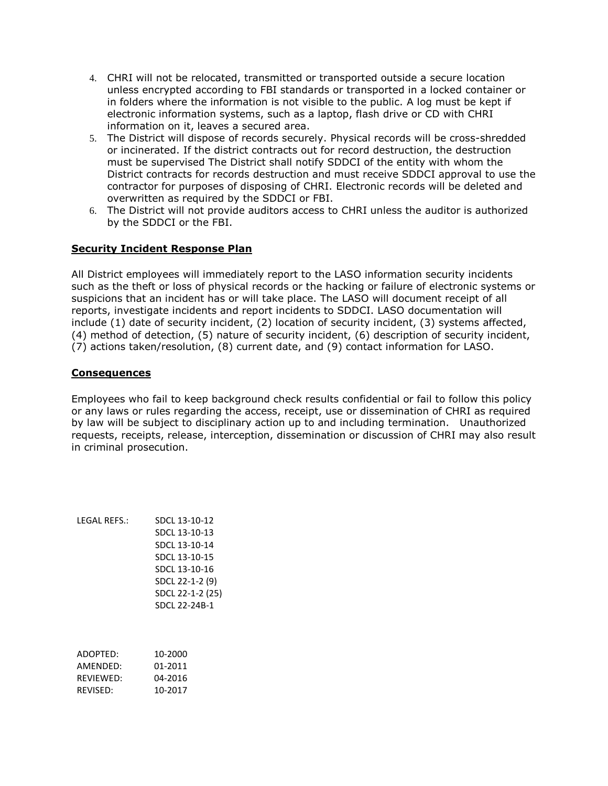- 4. CHRI will not be relocated, transmitted or transported outside a secure location unless encrypted according to FBI standards or transported in a locked container or in folders where the information is not visible to the public. A log must be kept if electronic information systems, such as a laptop, flash drive or CD with CHRI information on it, leaves a secured area.
- 5. The District will dispose of records securely. Physical records will be cross-shredded or incinerated. If the district contracts out for record destruction, the destruction must be supervised The District shall notify SDDCI of the entity with whom the District contracts for records destruction and must receive SDDCI approval to use the contractor for purposes of disposing of CHRI. Electronic records will be deleted and overwritten as required by the SDDCI or FBI.
- 6. The District will not provide auditors access to CHRI unless the auditor is authorized by the SDDCI or the FBI.

## **Security Incident Response Plan**

All District employees will immediately report to the LASO information security incidents such as the theft or loss of physical records or the hacking or failure of electronic systems or suspicions that an incident has or will take place. The LASO will document receipt of all reports, investigate incidents and report incidents to SDDCI. LASO documentation will include (1) date of security incident, (2) location of security incident, (3) systems affected, (4) method of detection, (5) nature of security incident, (6) description of security incident, (7) actions taken/resolution, (8) current date, and (9) contact information for LASO.

### **Consequences**

Employees who fail to keep background check results confidential or fail to follow this policy or any laws or rules regarding the access, receipt, use or dissemination of CHRI as required by law will be subject to disciplinary action up to and including termination. Unauthorized requests, receipts, release, interception, dissemination or discussion of CHRI may also result in criminal prosecution.

LEGAL REFS.: SDCL 13-10-12 SDCL 13-10-13 SDCL 13-10-14 SDCL 13-10-15 SDCL 13-10-16 SDCL 22-1-2 (9) SDCL 22-1-2 (25) SDCL 22-24B-1

| ADOPTED:  | 10-2000 |
|-----------|---------|
| AMFNDFD:  | 01-2011 |
| RFVIFWFD: | 04-2016 |
| REVISED:  | 10-2017 |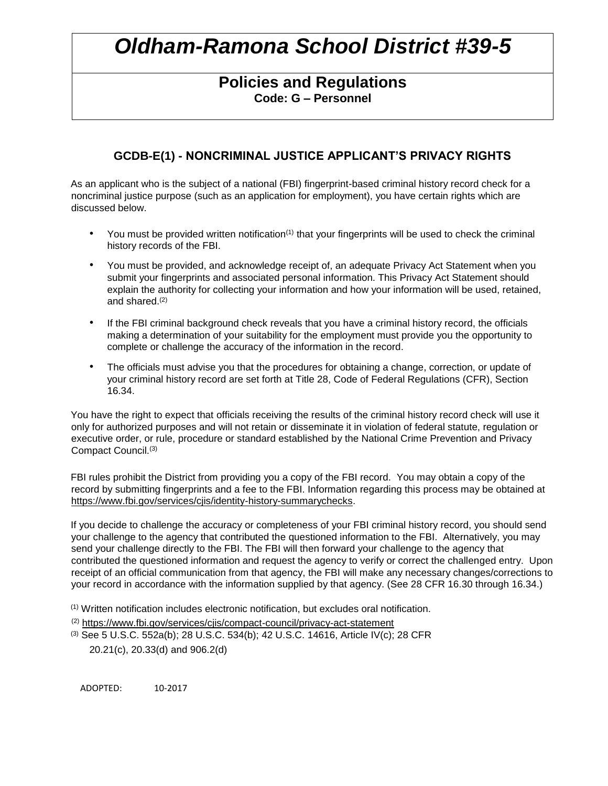# **Policies and Regulations Code: G – Personnel**

# **GCDB-E(1) - NONCRIMINAL JUSTICE APPLICANT'S PRIVACY RIGHTS**

As an applicant who is the subject of a national (FBI) fingerprint-based criminal history record check for a noncriminal justice purpose (such as an application for employment), you have certain rights which are discussed below.

- You must be provided written notification<sup>(1)</sup> that your fingerprints will be used to check the criminal history records of the FBI.
- You must be provided, and acknowledge receipt of, an adequate Privacy Act Statement when you submit your fingerprints and associated personal information. This Privacy Act Statement should explain the authority for collecting your information and how your information will be used, retained, and shared.<sup>(2)</sup>
- If the FBI criminal background check reveals that you have a criminal history record, the officials making a determination of your suitability for the employment must provide you the opportunity to complete or challenge the accuracy of the information in the record.
- The officials must advise you that the procedures for obtaining a change, correction, or update of your criminal history record are set forth at Title 28, Code of Federal Regulations (CFR), Section 16.34.

You have the right to expect that officials receiving the results of the criminal history record check will use it only for authorized purposes and will not retain or disseminate it in violation of federal statute, regulation or executive order, or rule, procedure or standard established by the National Crime Prevention and Privacy Compact Council.(3)

FBI rules prohibit the District from providing you a copy of the FBI record. You may obtain a copy of the record by submitting fingerprints and a fee to the FBI. Information regarding this process may be obtained at https://www.fbi.gov/services/cjis/identity-history-summarychecks.

If you decide to challenge the accuracy or completeness of your FBI criminal history record, you should send your challenge to the agency that contributed the questioned information to the FBI. Alternatively, you may send your challenge directly to the FBI. The FBI will then forward your challenge to the agency that contributed the questioned information and request the agency to verify or correct the challenged entry. Upon receipt of an official communication from that agency, the FBI will make any necessary changes/corrections to your record in accordance with the information supplied by that agency. (See 28 CFR 16.30 through 16.34.)

 $<sup>(1)</sup>$  Written notification includes electronic notification, but excludes oral notification.</sup>

- (2) https://www.fbi.gov/services/cjis/compact-council/privacy-act-statement
- (3) See 5 U.S.C. 552a(b); 28 U.S.C. 534(b); 42 U.S.C. 14616, Article IV(c); 28 CFR 20.21(c), 20.33(d) and 906.2(d)

ADOPTED: 10-2017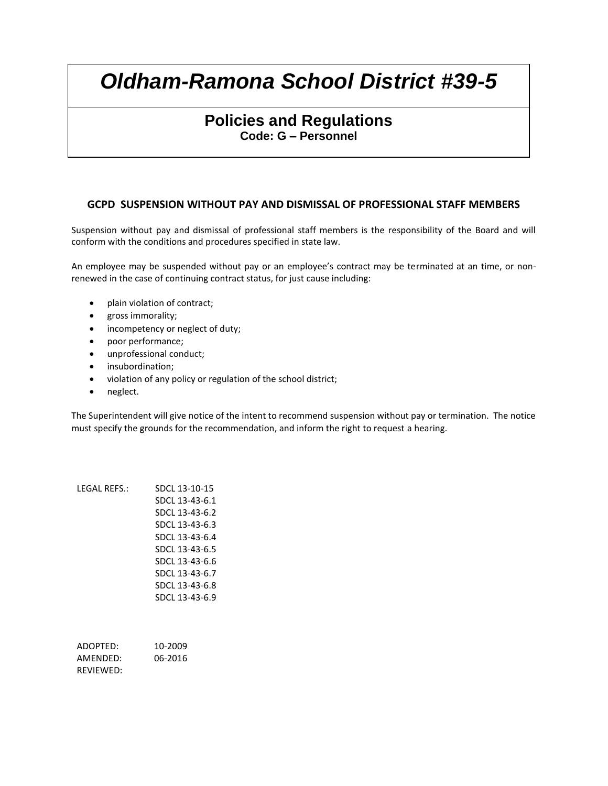# **Policies and Regulations Code: G – Personnel**

## **GCPD SUSPENSION WITHOUT PAY AND DISMISSAL OF PROFESSIONAL STAFF MEMBERS**

Suspension without pay and dismissal of professional staff members is the responsibility of the Board and will conform with the conditions and procedures specified in state law.

An employee may be suspended without pay or an employee's contract may be terminated at an time, or nonrenewed in the case of continuing contract status, for just cause including:

- plain violation of contract;
- gross immorality;
- incompetency or neglect of duty;
- poor performance;
- unprofessional conduct;
- **•** insubordination;
- violation of any policy or regulation of the school district;
- neglect.

The Superintendent will give notice of the intent to recommend suspension without pay or termination. The notice must specify the grounds for the recommendation, and inform the right to request a hearing.

| IFGAI RFFS.: | SDCL 13-10-15  |
|--------------|----------------|
|              | SDCL 13-43-6.1 |
|              | SDCL 13-43-6.2 |
|              | SDCL 13-43-6.3 |
|              | SDCL 13-43-6.4 |
|              | SDCL 13-43-6.5 |
|              | SDCL 13-43-6.6 |
|              | SDCL 13-43-6.7 |
|              | SDCL 13-43-6.8 |
|              | SDCL 13-43-6.9 |
|              |                |
|              |                |

ADOPTED: 10-2009 AMENDED: 06-2016 REVIEWED: